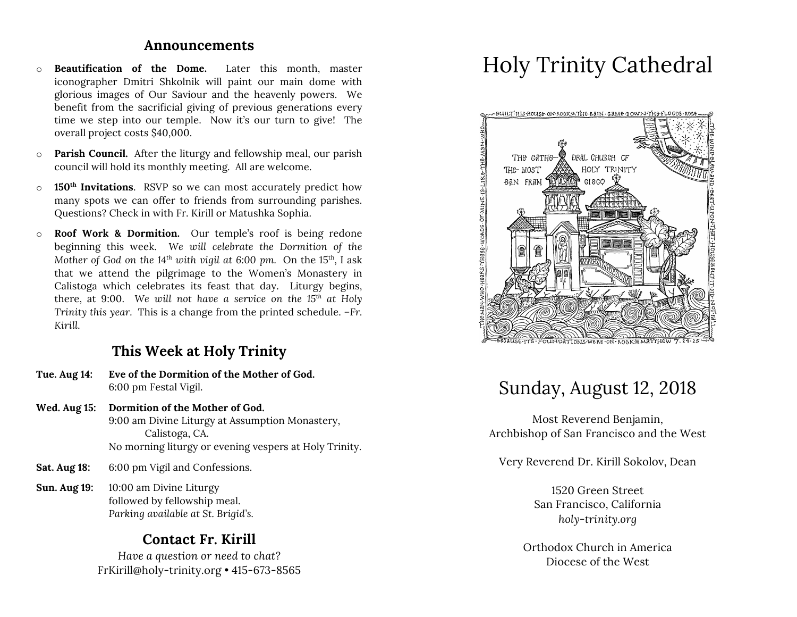### **Announcements**

- o **Beautification of the Dome.** Later this month, master iconographer Dmitri Shkolnik will paint our main dome with glorious images of Our Saviour and the heavenly powers. We benefit from the sacrificial giving of previous generations every time we step into our temple. Now it's our turn to give! The overall project costs \$40,000.
- o **Parish Council.** After the liturgy and fellowship meal, our parish council will hold its monthly meeting. All are welcome.
- o **150th Invitations**. RSVP so we can most accurately predict how many spots we can offer to friends from surrounding parishes. Questions? Check in with Fr. Kirill or Matushka Sophia.
- o **Roof Work & Dormition.** Our temple's roof is being redone beginning this week. *We will celebrate the Dormition of the Mother of God on the 14<sup>th</sup> with vigil at 6:00 pm.* On the 15<sup>th</sup>, I ask that we attend the pilgrimage to the Women's Monastery in Calistoga which celebrates its feast that day. Liturgy begins, there, at 9:00. *We will not have a service on the 15th at Holy Trinity this year.* This is a change from the printed schedule. *–Fr. Kirill.*

# **This Week at Holy Trinity**

- **Tue. Aug 14: Eve of the Dormition of the Mother of God.** 6:00 pm Festal Vigil.
- **Wed. Aug 15: Dormition of the Mother of God.** 9:00 am Divine Liturgy at Assumption Monastery, Calistoga, CA. No morning liturgy or evening vespers at Holy Trinity.
- **Sat. Aug 18:** 6:00 pm Vigil and Confessions.
- **Sun. Aug 19:** 10:00 am Divine Liturgy followed by fellowship meal. *Parking available at St. Brigid's.*

# **Contact Fr. Kirill**

*Have a question or need to chat?* FrKirill@holy-trinity.org • 415-673-8565

# Holy Trinity Cathedral



# Sunday, August 12, 2018

Most Reverend Benjamin, Archbishop of San Francisco and the West

Very Reverend Dr. Kirill Sokolov, Dean

1520 Green Street San Francisco, California *holy-trinity.org*

Orthodox Church in America Diocese of the West